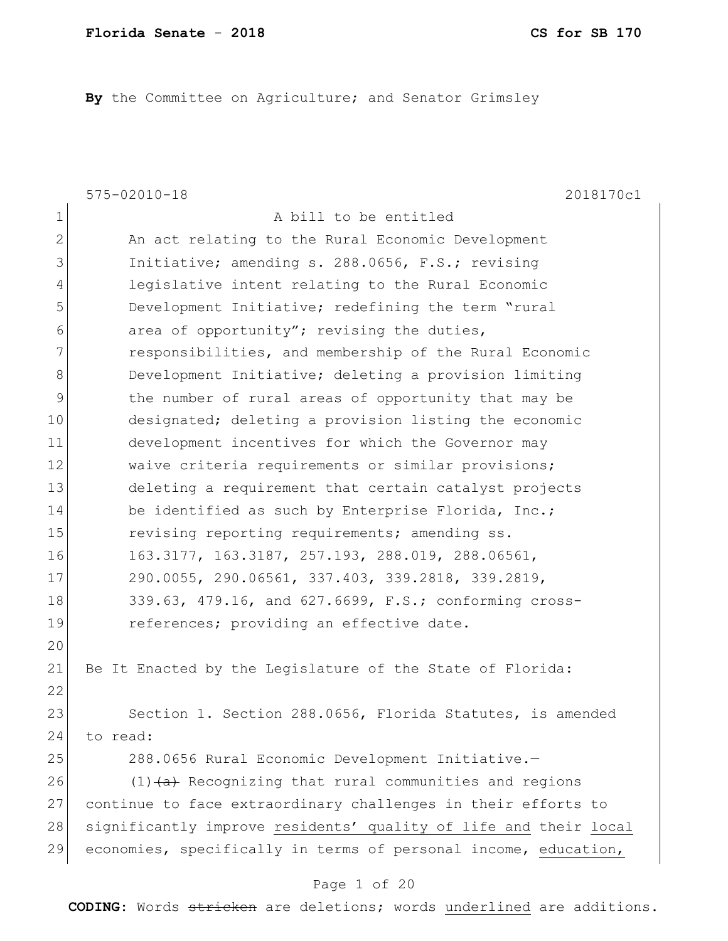By the Committee on Agriculture; and Senator Grimsley

|                | $575 - 02010 - 18$<br>2018170c1                                  |
|----------------|------------------------------------------------------------------|
| 1              | A bill to be entitled                                            |
| $\overline{2}$ | An act relating to the Rural Economic Development                |
| 3              | Initiative; amending s. 288.0656, F.S.; revising                 |
| 4              | legislative intent relating to the Rural Economic                |
| 5              | Development Initiative; redefining the term "rural               |
| 6              | area of opportunity"; revising the duties,                       |
| 7              | responsibilities, and membership of the Rural Economic           |
| $\,8\,$        | Development Initiative; deleting a provision limiting            |
| $\mathsf{S}$   | the number of rural areas of opportunity that may be             |
| 10             | designated; deleting a provision listing the economic            |
| 11             | development incentives for which the Governor may                |
| 12             | waive criteria requirements or similar provisions;               |
| 13             | deleting a requirement that certain catalyst projects            |
| 14             | be identified as such by Enterprise Florida, Inc.;               |
| 15             | revising reporting requirements; amending ss.                    |
| 16             | 163.3177, 163.3187, 257.193, 288.019, 288.06561,                 |
| 17             | 290.0055, 290.06561, 337.403, 339.2818, 339.2819,                |
| 18             | 339.63, 479.16, and 627.6699, F.S.; conforming cross-            |
| 19             | references; providing an effective date.                         |
| 20             |                                                                  |
| 21             | Be It Enacted by the Legislature of the State of Florida:        |
| 22             |                                                                  |
| 23             | Section 1. Section 288.0656, Florida Statutes, is amended        |
| 24             | to read:                                                         |
| 25             | 288.0656 Rural Economic Development Initiative.-                 |
| 26             | $(1)$ $(a)$ Recognizing that rural communities and regions       |
| 27             | continue to face extraordinary challenges in their efforts to    |
| 28             | significantly improve residents' quality of life and their local |
| 29             | economies, specifically in terms of personal income, education,  |
|                |                                                                  |

# Page 1 of 20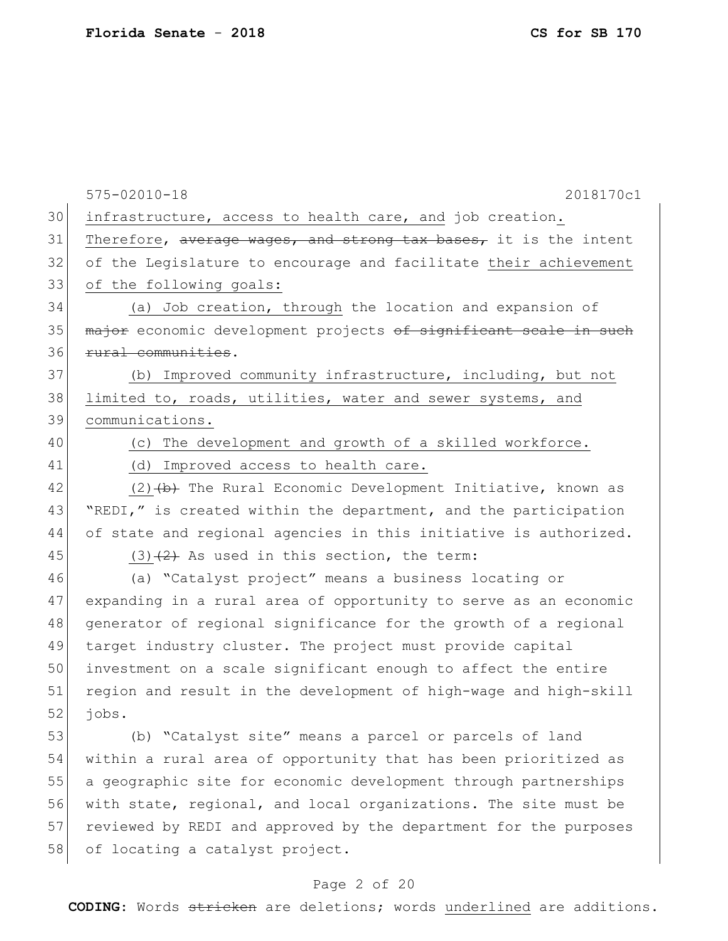575-02010-18 2018170c1 30 infrastructure, access to health care, and job creation. 31 Therefore, average wages, and strong tax bases, it is the intent 32 of the Legislature to encourage and facilitate their achievement 33 of the following goals: 34 (a) Job creation, through the location and expansion of 35 major economic development projects of significant scale in such 36 rural communities. 37 (b) Improved community infrastructure, including, but not 38 limited to, roads, utilities, water and sewer systems, and 39 communications. 40 (c) The development and growth of a skilled workforce. 41 (d) Improved access to health care. 42 (2) <del>(b)</del> The Rural Economic Development Initiative, known as 43 "REDI," is created within the department, and the participation 44 of state and regional agencies in this initiative is authorized. 45 (3)  $(2)$  As used in this section, the term: 46 (a) "Catalyst project" means a business locating or 47 expanding in a rural area of opportunity to serve as an economic 48 generator of regional significance for the growth of a regional 49 target industry cluster. The project must provide capital 50 investment on a scale significant enough to affect the entire 51 region and result in the development of high-wage and high-skill  $52$  jobs. 53 (b) "Catalyst site" means a parcel or parcels of land 54 within a rural area of opportunity that has been prioritized as 55 a geographic site for economic development through partnerships 56 with state, regional, and local organizations. The site must be 57 reviewed by REDI and approved by the department for the purposes 58 of locating a catalyst project.

#### Page 2 of 20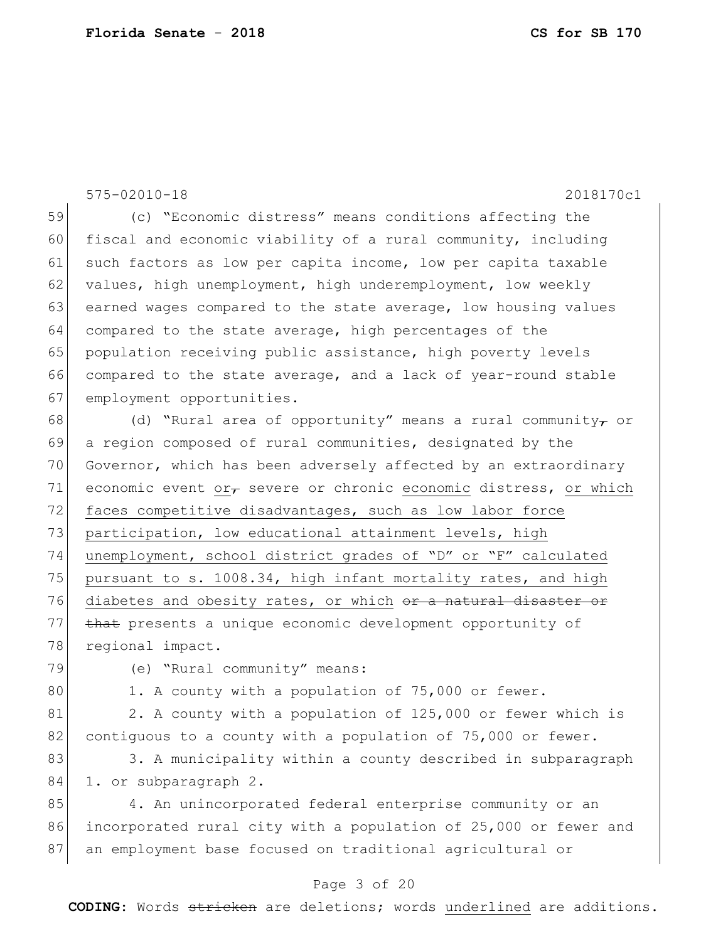| 59<br>(c) "Economic distress" means conditions affecting the<br>60<br>fiscal and economic viability of a rural community, including<br>61<br>such factors as low per capita income, low per capita taxable<br>62<br>values, high unemployment, high underemployment, low weekly<br>63<br>earned wages compared to the state average, low housing values<br>64<br>compared to the state average, high percentages of the<br>65<br>population receiving public assistance, high poverty levels<br>66<br>compared to the state average, and a lack of year-round stable<br>67<br>employment opportunities.<br>68<br>(d) "Rural area of opportunity" means a rural community $\tau$ or<br>69<br>a region composed of rural communities, designated by the<br>70<br>Governor, which has been adversely affected by an extraordinary<br>71<br>economic event or $\tau$ severe or chronic economic distress, or which<br>72<br>faces competitive disadvantages, such as low labor force<br>73<br>participation, low educational attainment levels, high<br>74<br>unemployment, school district grades of "D" or "F" calculated<br>75<br>pursuant to s. 1008.34, high infant mortality rates, and high<br>76<br>diabetes and obesity rates, or which or a natural disaster or<br>77<br>that presents a unique economic development opportunity of<br>78<br>regional impact.<br>79<br>(e) "Rural community" means:<br>80<br>1. A county with a population of 75,000 or fewer.<br>2. A county with a population of 125,000 or fewer which is<br>81 |
|------------------------------------------------------------------------------------------------------------------------------------------------------------------------------------------------------------------------------------------------------------------------------------------------------------------------------------------------------------------------------------------------------------------------------------------------------------------------------------------------------------------------------------------------------------------------------------------------------------------------------------------------------------------------------------------------------------------------------------------------------------------------------------------------------------------------------------------------------------------------------------------------------------------------------------------------------------------------------------------------------------------------------------------------------------------------------------------------------------------------------------------------------------------------------------------------------------------------------------------------------------------------------------------------------------------------------------------------------------------------------------------------------------------------------------------------------------------------------------------------------------------------------------------|
|                                                                                                                                                                                                                                                                                                                                                                                                                                                                                                                                                                                                                                                                                                                                                                                                                                                                                                                                                                                                                                                                                                                                                                                                                                                                                                                                                                                                                                                                                                                                          |
|                                                                                                                                                                                                                                                                                                                                                                                                                                                                                                                                                                                                                                                                                                                                                                                                                                                                                                                                                                                                                                                                                                                                                                                                                                                                                                                                                                                                                                                                                                                                          |
|                                                                                                                                                                                                                                                                                                                                                                                                                                                                                                                                                                                                                                                                                                                                                                                                                                                                                                                                                                                                                                                                                                                                                                                                                                                                                                                                                                                                                                                                                                                                          |
|                                                                                                                                                                                                                                                                                                                                                                                                                                                                                                                                                                                                                                                                                                                                                                                                                                                                                                                                                                                                                                                                                                                                                                                                                                                                                                                                                                                                                                                                                                                                          |
|                                                                                                                                                                                                                                                                                                                                                                                                                                                                                                                                                                                                                                                                                                                                                                                                                                                                                                                                                                                                                                                                                                                                                                                                                                                                                                                                                                                                                                                                                                                                          |
|                                                                                                                                                                                                                                                                                                                                                                                                                                                                                                                                                                                                                                                                                                                                                                                                                                                                                                                                                                                                                                                                                                                                                                                                                                                                                                                                                                                                                                                                                                                                          |
|                                                                                                                                                                                                                                                                                                                                                                                                                                                                                                                                                                                                                                                                                                                                                                                                                                                                                                                                                                                                                                                                                                                                                                                                                                                                                                                                                                                                                                                                                                                                          |
|                                                                                                                                                                                                                                                                                                                                                                                                                                                                                                                                                                                                                                                                                                                                                                                                                                                                                                                                                                                                                                                                                                                                                                                                                                                                                                                                                                                                                                                                                                                                          |
|                                                                                                                                                                                                                                                                                                                                                                                                                                                                                                                                                                                                                                                                                                                                                                                                                                                                                                                                                                                                                                                                                                                                                                                                                                                                                                                                                                                                                                                                                                                                          |
|                                                                                                                                                                                                                                                                                                                                                                                                                                                                                                                                                                                                                                                                                                                                                                                                                                                                                                                                                                                                                                                                                                                                                                                                                                                                                                                                                                                                                                                                                                                                          |
|                                                                                                                                                                                                                                                                                                                                                                                                                                                                                                                                                                                                                                                                                                                                                                                                                                                                                                                                                                                                                                                                                                                                                                                                                                                                                                                                                                                                                                                                                                                                          |
|                                                                                                                                                                                                                                                                                                                                                                                                                                                                                                                                                                                                                                                                                                                                                                                                                                                                                                                                                                                                                                                                                                                                                                                                                                                                                                                                                                                                                                                                                                                                          |
|                                                                                                                                                                                                                                                                                                                                                                                                                                                                                                                                                                                                                                                                                                                                                                                                                                                                                                                                                                                                                                                                                                                                                                                                                                                                                                                                                                                                                                                                                                                                          |
|                                                                                                                                                                                                                                                                                                                                                                                                                                                                                                                                                                                                                                                                                                                                                                                                                                                                                                                                                                                                                                                                                                                                                                                                                                                                                                                                                                                                                                                                                                                                          |
|                                                                                                                                                                                                                                                                                                                                                                                                                                                                                                                                                                                                                                                                                                                                                                                                                                                                                                                                                                                                                                                                                                                                                                                                                                                                                                                                                                                                                                                                                                                                          |
|                                                                                                                                                                                                                                                                                                                                                                                                                                                                                                                                                                                                                                                                                                                                                                                                                                                                                                                                                                                                                                                                                                                                                                                                                                                                                                                                                                                                                                                                                                                                          |
|                                                                                                                                                                                                                                                                                                                                                                                                                                                                                                                                                                                                                                                                                                                                                                                                                                                                                                                                                                                                                                                                                                                                                                                                                                                                                                                                                                                                                                                                                                                                          |
|                                                                                                                                                                                                                                                                                                                                                                                                                                                                                                                                                                                                                                                                                                                                                                                                                                                                                                                                                                                                                                                                                                                                                                                                                                                                                                                                                                                                                                                                                                                                          |
|                                                                                                                                                                                                                                                                                                                                                                                                                                                                                                                                                                                                                                                                                                                                                                                                                                                                                                                                                                                                                                                                                                                                                                                                                                                                                                                                                                                                                                                                                                                                          |
|                                                                                                                                                                                                                                                                                                                                                                                                                                                                                                                                                                                                                                                                                                                                                                                                                                                                                                                                                                                                                                                                                                                                                                                                                                                                                                                                                                                                                                                                                                                                          |
|                                                                                                                                                                                                                                                                                                                                                                                                                                                                                                                                                                                                                                                                                                                                                                                                                                                                                                                                                                                                                                                                                                                                                                                                                                                                                                                                                                                                                                                                                                                                          |
|                                                                                                                                                                                                                                                                                                                                                                                                                                                                                                                                                                                                                                                                                                                                                                                                                                                                                                                                                                                                                                                                                                                                                                                                                                                                                                                                                                                                                                                                                                                                          |
|                                                                                                                                                                                                                                                                                                                                                                                                                                                                                                                                                                                                                                                                                                                                                                                                                                                                                                                                                                                                                                                                                                                                                                                                                                                                                                                                                                                                                                                                                                                                          |
| 82<br>contiguous to a county with a population of 75,000 or fewer.                                                                                                                                                                                                                                                                                                                                                                                                                                                                                                                                                                                                                                                                                                                                                                                                                                                                                                                                                                                                                                                                                                                                                                                                                                                                                                                                                                                                                                                                       |
| 83<br>3. A municipality within a county described in subparagraph                                                                                                                                                                                                                                                                                                                                                                                                                                                                                                                                                                                                                                                                                                                                                                                                                                                                                                                                                                                                                                                                                                                                                                                                                                                                                                                                                                                                                                                                        |
| 84<br>1. or subparagraph 2.                                                                                                                                                                                                                                                                                                                                                                                                                                                                                                                                                                                                                                                                                                                                                                                                                                                                                                                                                                                                                                                                                                                                                                                                                                                                                                                                                                                                                                                                                                              |
| 85<br>4. An unincorporated federal enterprise community or an                                                                                                                                                                                                                                                                                                                                                                                                                                                                                                                                                                                                                                                                                                                                                                                                                                                                                                                                                                                                                                                                                                                                                                                                                                                                                                                                                                                                                                                                            |
| 86<br>incorporated rural city with a population of 25,000 or fewer and                                                                                                                                                                                                                                                                                                                                                                                                                                                                                                                                                                                                                                                                                                                                                                                                                                                                                                                                                                                                                                                                                                                                                                                                                                                                                                                                                                                                                                                                   |
| 87<br>an employment base focused on traditional agricultural or                                                                                                                                                                                                                                                                                                                                                                                                                                                                                                                                                                                                                                                                                                                                                                                                                                                                                                                                                                                                                                                                                                                                                                                                                                                                                                                                                                                                                                                                          |

# Page 3 of 20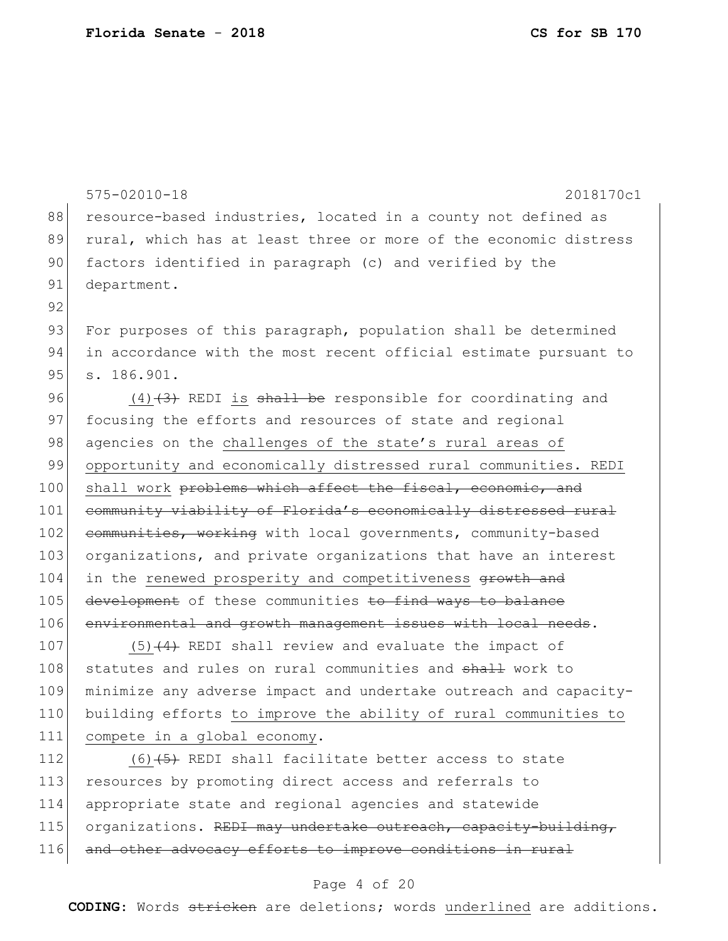88 resource-based industries, located in a county not defined as 89 rural, which has at least three or more of the economic distress 90 factors identified in paragraph (c) and verified by the 91 department. 92 93 For purposes of this paragraph, population shall be determined 94 in accordance with the most recent official estimate pursuant to 95 s. 186.901. 96  $(4)$   $(3)$  REDI is shall be responsible for coordinating and 97 focusing the efforts and resources of state and regional 98 agencies on the challenges of the state's rural areas of 99 opportunity and economically distressed rural communities. REDI 100 shall work problems which affect the fiscal, economic, and 101 community viability of Florida's economically distressed rural 102 communities, working with local governments, community-based 103 organizations, and private organizations that have an interest 104 in the renewed prosperity and competitiveness growth and 105 development of these communities to find ways to balance 106 environmental and growth management issues with local needs. 107  $(5)$  (4) REDI shall review and evaluate the impact of 108 statutes and rules on rural communities and shall work to 109 minimize any adverse impact and undertake outreach and capacity-110 building efforts to improve the ability of rural communities to 111 compete in a global economy. 112  $(6)$   $(5)$  REDI shall facilitate better access to state 113 resources by promoting direct access and referrals to 114 appropriate state and regional agencies and statewide 115 organizations. REDI may undertake outreach, capacity-building, 116 and other advocacy efforts to improve conditions in rural

575-02010-18 2018170c1

#### Page 4 of 20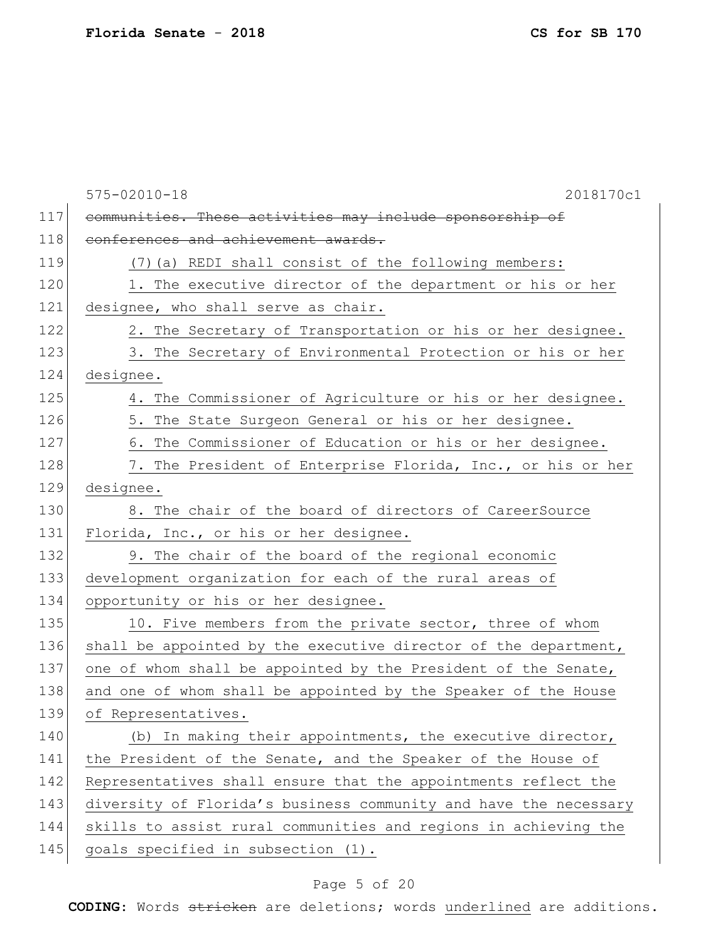|     | 2018170c1<br>$575 - 02010 - 18$                                  |
|-----|------------------------------------------------------------------|
| 117 | communities. These activities may include sponsorship of         |
| 118 | conferences and achievement awards.                              |
| 119 | (7) (a) REDI shall consist of the following members:             |
| 120 | 1. The executive director of the department or his or her        |
| 121 | designee, who shall serve as chair.                              |
| 122 | 2. The Secretary of Transportation or his or her designee.       |
| 123 | 3. The Secretary of Environmental Protection or his or her       |
| 124 | designee.                                                        |
| 125 | 4. The Commissioner of Agriculture or his or her designee.       |
| 126 | 5. The State Surgeon General or his or her designee.             |
| 127 | 6. The Commissioner of Education or his or her designee.         |
| 128 | 7. The President of Enterprise Florida, Inc., or his or her      |
| 129 | designee.                                                        |
| 130 | 8. The chair of the board of directors of CareerSource           |
| 131 | Florida, Inc., or his or her designee.                           |
| 132 | 9. The chair of the board of the regional economic               |
| 133 | development organization for each of the rural areas of          |
| 134 | opportunity or his or her designee.                              |
| 135 | 10. Five members from the private sector, three of whom          |
| 136 | shall be appointed by the executive director of the department,  |
| 137 | one of whom shall be appointed by the President of the Senate,   |
| 138 | and one of whom shall be appointed by the Speaker of the House   |
| 139 | of Representatives.                                              |
| 140 | (b) In making their appointments, the executive director,        |
| 141 | the President of the Senate, and the Speaker of the House of     |
| 142 | Representatives shall ensure that the appointments reflect the   |
| 143 | diversity of Florida's business community and have the necessary |
| 144 | skills to assist rural communities and regions in achieving the  |
| 145 | goals specified in subsection (1).                               |

# Page 5 of 20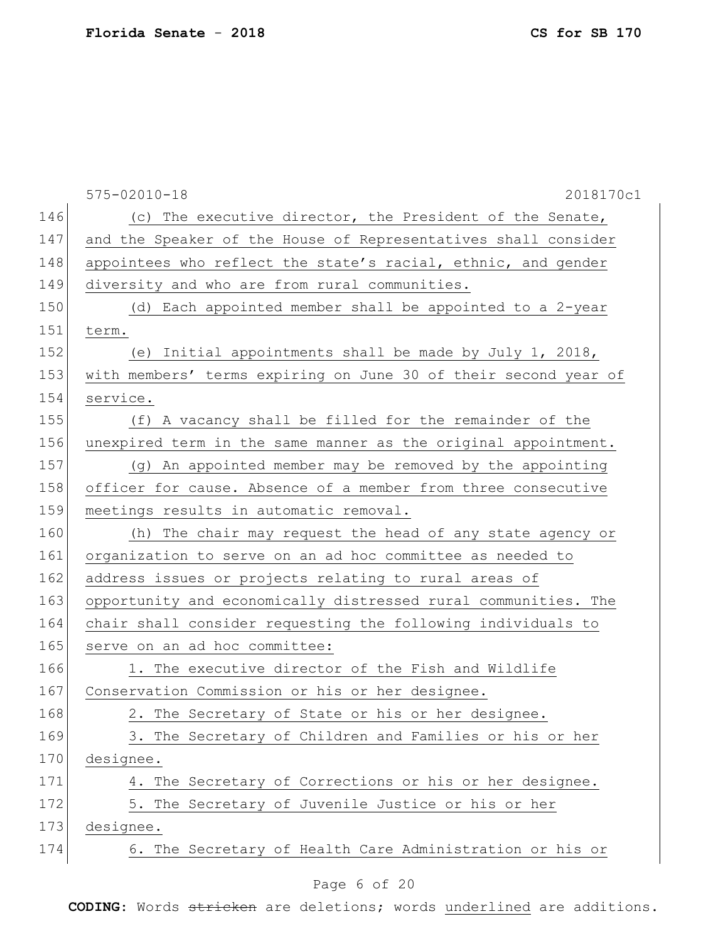|     | $575 - 02010 - 18$<br>2018170c1                                 |
|-----|-----------------------------------------------------------------|
| 146 | (c) The executive director, the President of the Senate,        |
| 147 | and the Speaker of the House of Representatives shall consider  |
| 148 | appointees who reflect the state's racial, ethnic, and gender   |
| 149 | diversity and who are from rural communities.                   |
| 150 | (d) Each appointed member shall be appointed to a 2-year        |
| 151 | term.                                                           |
| 152 | (e) Initial appointments shall be made by July 1, 2018,         |
| 153 | with members' terms expiring on June 30 of their second year of |
| 154 | service.                                                        |
| 155 | (f) A vacancy shall be filled for the remainder of the          |
| 156 | unexpired term in the same manner as the original appointment.  |
| 157 | (g) An appointed member may be removed by the appointing        |
| 158 | officer for cause. Absence of a member from three consecutive   |
| 159 | meetings results in automatic removal.                          |
| 160 | (h) The chair may request the head of any state agency or       |
| 161 | organization to serve on an ad hoc committee as needed to       |
| 162 | address issues or projects relating to rural areas of           |
| 163 | opportunity and economically distressed rural communities. The  |
| 164 | chair shall consider requesting the following individuals to    |
| 165 | serve on an ad hoc committee:                                   |
| 166 | 1. The executive director of the Fish and Wildlife              |
| 167 | Conservation Commission or his or her designee.                 |
| 168 | 2. The Secretary of State or his or her designee.               |
| 169 | 3. The Secretary of Children and Families or his or her         |
| 170 | designee.                                                       |
| 171 | 4. The Secretary of Corrections or his or her designee.         |
| 172 | 5. The Secretary of Juvenile Justice or his or her              |
| 173 | designee.                                                       |
| 174 | 6. The Secretary of Health Care Administration or his or        |
|     |                                                                 |

#### Page 6 of 20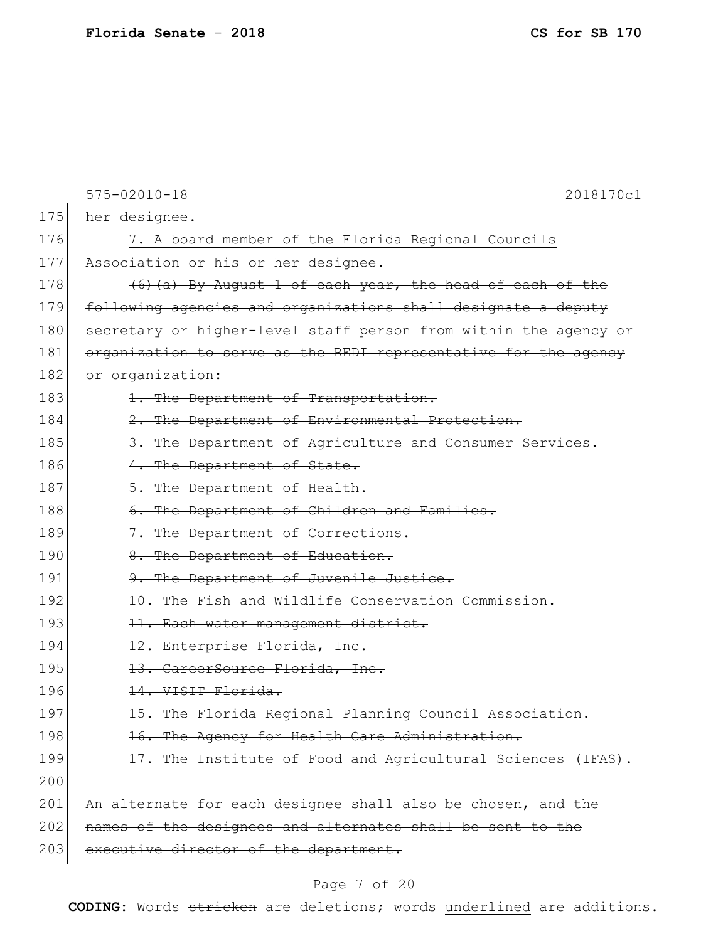|     | $575 - 02010 - 18$<br>2018170c1                                  |
|-----|------------------------------------------------------------------|
| 175 | her designee.                                                    |
| 176 | 7. A board member of the Florida Regional Councils               |
| 177 | Association or his or her designee.                              |
| 178 | (6) (a) By August 1 of each year, the head of each of the        |
| 179 | following agencies and organizations shall designate a deputy    |
| 180 | secretary or higher-level staff person from within the agency or |
| 181 | organization to serve as the REDI representative for the agency  |
| 182 | or organization:                                                 |
| 183 | 1. The Department of Transportation.                             |
| 184 | 2. The Department of Environmental Protection.                   |
| 185 | 3. The Department of Agriculture and Consumer Services.          |
| 186 | 4. The Department of State.                                      |
| 187 | 5. The Department of Health.                                     |
| 188 | 6. The Department of Children and Families.                      |
| 189 | 7. The Department of Corrections.                                |
| 190 | 8. The Department of Education.                                  |
| 191 | 9. The Department of Juvenile Justice.                           |
| 192 | 10. The Fish and Wildlife Conservation Commission.               |
| 193 | 11. Each water management district.                              |
| 194 | 12. Enterprise Florida, Inc.                                     |
| 195 | 13. CareerSource Florida, Inc.                                   |
| 196 | 14. VISIT Florida.                                               |
| 197 | 15. The Florida Regional Planning Council Association.           |
| 198 | 16. The Agency for Health Care Administration.                   |
| 199 | 17. The Institute of Food and Agricultural Sciences (IFAS).      |
| 200 |                                                                  |
| 201 | An alternate for each designee shall also be chosen, and the     |
| 202 | names of the designees and alternates shall be sent to the       |
| 203 | executive director of the department.                            |

# Page 7 of 20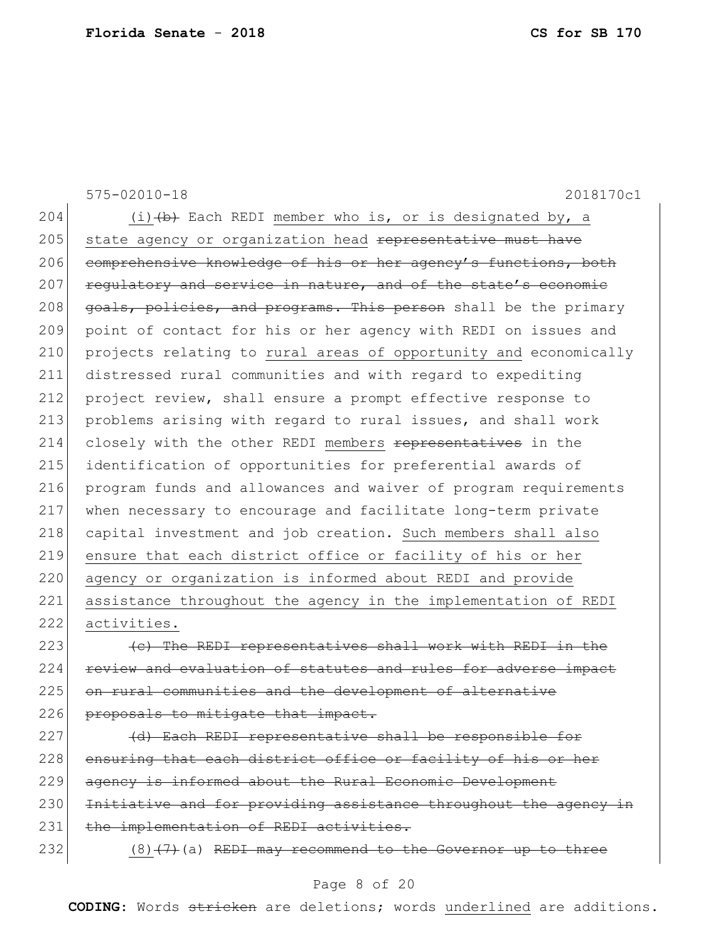575-02010-18 2018170c1 204  $(i)$   $(b)$  Each REDI member who is, or is designated by, a 205 state agency or organization head representative must have 206 comprehensive knowledge of his or her agency's functions, both 207 regulatory and service in nature, and of the state's economic 208 goals, policies, and programs. This person shall be the primary 209 point of contact for his or her agency with REDI on issues and 210 projects relating to rural areas of opportunity and economically 211 distressed rural communities and with regard to expediting 212 project review, shall ensure a prompt effective response to 213 problems arising with regard to rural issues, and shall work 214 closely with the other REDI members representatives in the 215 | identification of opportunities for preferential awards of 216 program funds and allowances and waiver of program requirements 217 when necessary to encourage and facilitate long-term private 218 capital investment and job creation. Such members shall also 219 ensure that each district office or facility of his or her 220 agency or organization is informed about REDI and provide 221 assistance throughout the agency in the implementation of REDI 222 activities.  $223$  (c) The REDI representatives shall work with REDI in the 224 review and evaluation of statutes and rules for adverse impact 225 on rural communities and the development of alternative 226 proposals to mitigate that impact. 227 (d) Each REDI representative shall be responsible for 228 ensuring that each district office or facility of his or her 229 agency is informed about the Rural Economic Development 230 Initiative and for providing assistance throughout the agency in 231 the implementation of REDI activities.

232  $(8)(7)$  (a) REDI may recommend to the Governor up to three

#### Page 8 of 20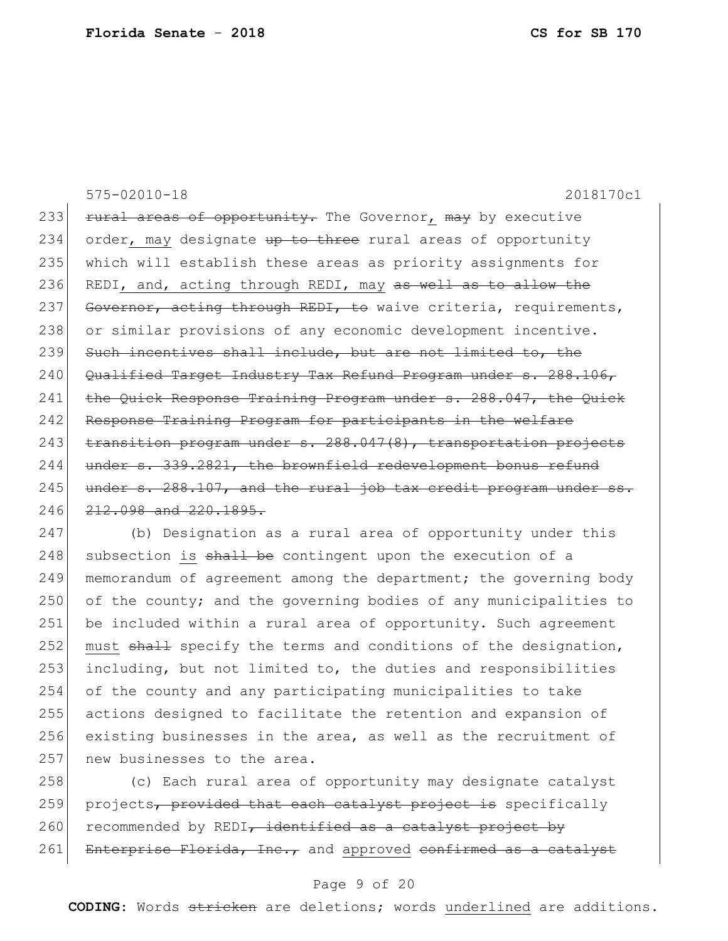575-02010-18 2018170c1 233 rural areas of opportunity. The Governor, may by executive 234 order, may designate up to three rural areas of opportunity 235 which will establish these areas as priority assignments for 236 REDI, and, acting through REDI, may as well as to allow the 237 Governor, acting through REDI, to waive criteria, requirements, 238 or similar provisions of any economic development incentive. 239 Such incentives shall include, but are not limited to, the 240 Qualified Target Industry Tax Refund Program under s. 288.106, 241 the Quick Response Training Program under s. 288.047, the Quick 242 Response Training Program for participants in the welfare 243 transition program under s. 288.047(8), transportation projects 244 under s. 339.2821, the brownfield redevelopment bonus refund 245 under s. 288.107, and the rural job tax credit program under ss. 246 <del>212.098 and 220.1895.</del>

 (b) Designation as a rural area of opportunity under this subsection is  $sh$ <sup>1</sup> be contingent upon the execution of a 249 memorandum of agreement among the department; the governing body 250 of the county; and the governing bodies of any municipalities to be included within a rural area of opportunity. Such agreement 252 must shall specify the terms and conditions of the designation, including, but not limited to, the duties and responsibilities of the county and any participating municipalities to take actions designed to facilitate the retention and expansion of existing businesses in the area, as well as the recruitment of 257 new businesses to the area.

258 (c) Each rural area of opportunity may designate catalyst 259 projects, provided that each catalyst project is specifically 260 recommended by REDI, identified as a catalyst project by 261 Enterprise Florida, Inc., and approved confirmed as a catalyst

#### Page 9 of 20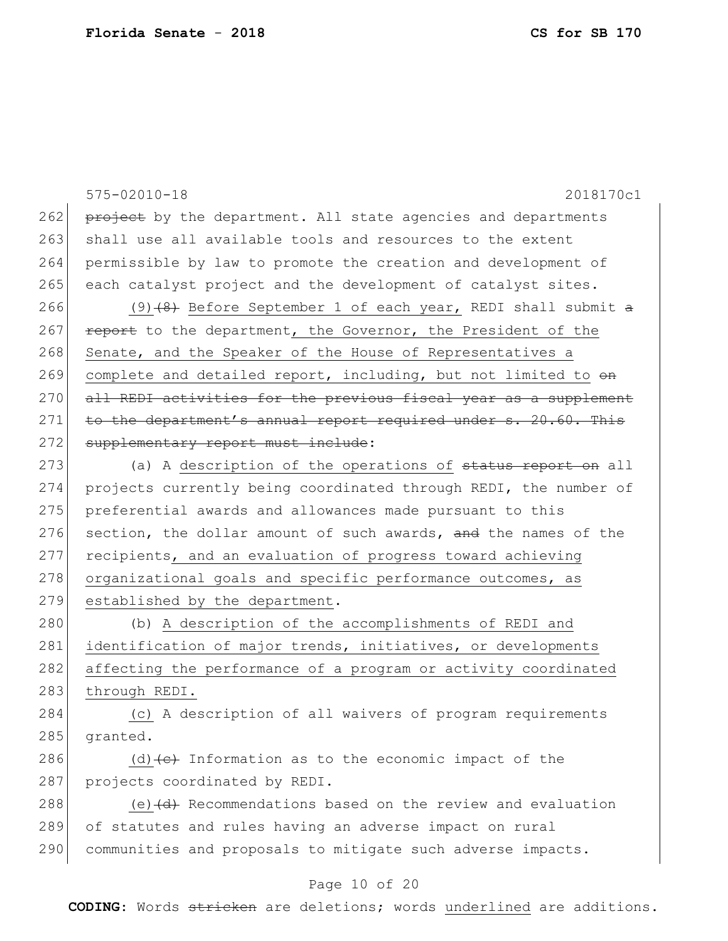|     | $575 - 02010 - 18$<br>2018170c1                                      |
|-----|----------------------------------------------------------------------|
| 262 | project by the department. All state agencies and departments        |
| 263 | shall use all available tools and resources to the extent            |
| 264 | permissible by law to promote the creation and development of        |
| 265 | each catalyst project and the development of catalyst sites.         |
| 266 | (9) (8) Before September 1 of each year, REDI shall submit a         |
| 267 | report to the department, the Governor, the President of the         |
| 268 | Senate, and the Speaker of the House of Representatives a            |
| 269 | complete and detailed report, including, but not limited to on       |
| 270 | all REDI activities for the previous fiscal year as a supplement     |
| 271 | to the department's annual report required under s. 20.60. This      |
| 272 | supplementary report must include:                                   |
| 273 | (a) A description of the operations of status report on all          |
| 274 | projects currently being coordinated through REDI, the number of     |
| 275 | preferential awards and allowances made pursuant to this             |
| 276 | section, the dollar amount of such awards, and the names of the      |
| 277 | recipients, and an evaluation of progress toward achieving           |
| 278 | organizational goals and specific performance outcomes, as           |
| 279 | established by the department.                                       |
| 280 | (b) A description of the accomplishments of REDI and                 |
| 281 | identification of major trends, initiatives, or developments         |
| 282 | affecting the performance of a program or activity coordinated       |
| 283 | through REDI.                                                        |
| 284 | (c) A description of all waivers of program requirements             |
| 285 | granted.                                                             |
| 286 | (d) $\left\{ e\right\}$ Information as to the economic impact of the |
| 287 | projects coordinated by REDI.                                        |
| 288 | (e) (d) Recommendations based on the review and evaluation           |
| 289 | of statutes and rules having an adverse impact on rural              |
| 290 | communities and proposals to mitigate such adverse impacts.          |

# Page 10 of 20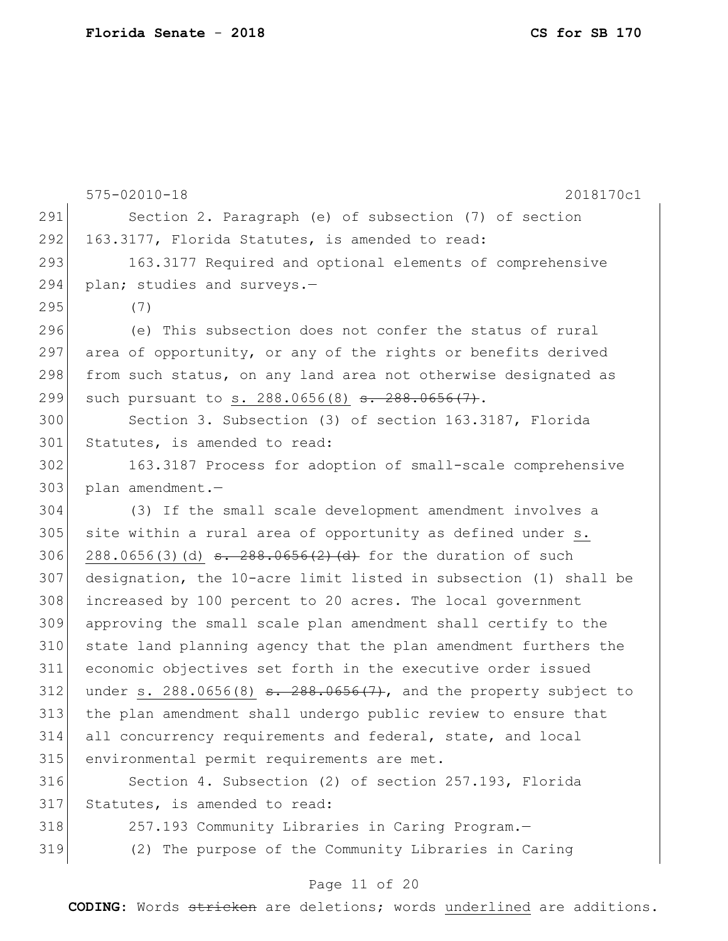|     | $575 - 02010 - 18$<br>2018170c1                                        |
|-----|------------------------------------------------------------------------|
| 291 | Section 2. Paragraph (e) of subsection (7) of section                  |
| 292 | 163.3177, Florida Statutes, is amended to read:                        |
| 293 | 163.3177 Required and optional elements of comprehensive               |
| 294 | plan; studies and surveys.-                                            |
| 295 | (7)                                                                    |
| 296 | (e) This subsection does not confer the status of rural                |
| 297 | area of opportunity, or any of the rights or benefits derived          |
| 298 | from such status, on any land area not otherwise designated as         |
| 299 | such pursuant to s. 288.0656(8) <del>s. 288.0656(7)</del> .            |
| 300 | Section 3. Subsection (3) of section 163.3187, Florida                 |
| 301 | Statutes, is amended to read:                                          |
| 302 | 163.3187 Process for adoption of small-scale comprehensive             |
| 303 | plan amendment.-                                                       |
| 304 | (3) If the small scale development amendment involves a                |
| 305 | site within a rural area of opportunity as defined under s.            |
| 306 | 288.0656(3)(d) $\frac{1}{5}$ - 288.0656(2)(d) for the duration of such |
| 307 | designation, the 10-acre limit listed in subsection (1) shall be       |
| 308 | increased by 100 percent to 20 acres. The local government             |
| 309 | approving the small scale plan amendment shall certify to the          |
| 310 | state land planning agency that the plan amendment furthers the        |
| 311 | economic objectives set forth in the executive order issued            |
| 312 | under s. $288.0656(8)$ s. $288.0656(7)$ , and the property subject to  |
| 313 | the plan amendment shall undergo public review to ensure that          |
| 314 | all concurrency requirements and federal, state, and local             |
| 315 | environmental permit requirements are met.                             |
| 316 | Section 4. Subsection (2) of section 257.193, Florida                  |
| 317 | Statutes, is amended to read:                                          |
| 318 | 257.193 Community Libraries in Caring Program.-                        |
| 319 | (2) The purpose of the Community Libraries in Caring                   |

# Page 11 of 20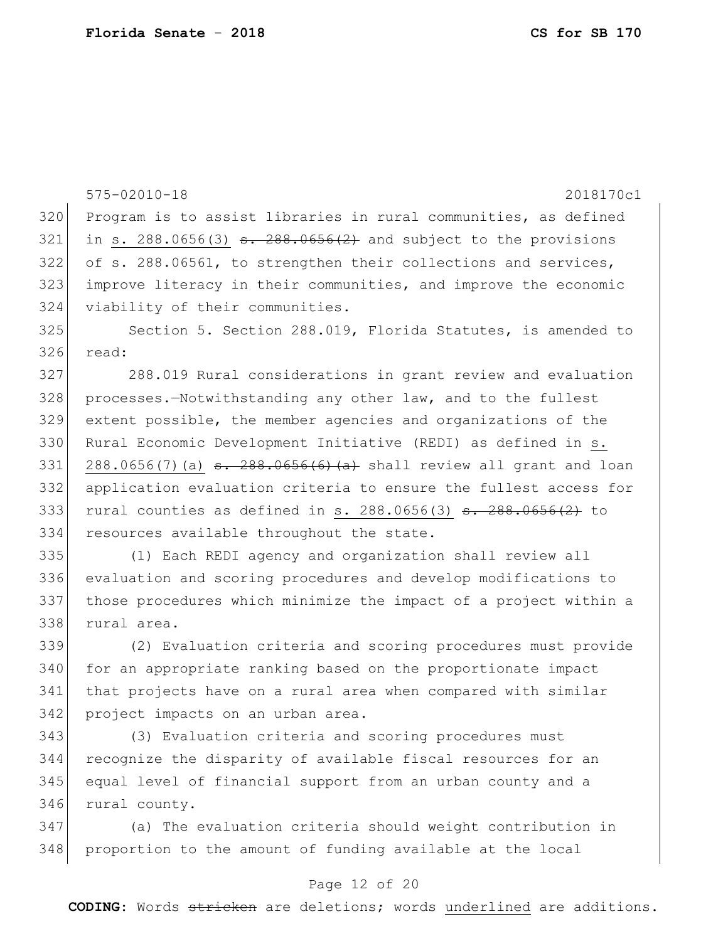|     | $575 - 02010 - 18$<br>2018170c1                                                         |
|-----|-----------------------------------------------------------------------------------------|
| 320 | Program is to assist libraries in rural communities, as defined                         |
| 321 | in s. 288.0656(3) $\frac{3.288.0656(2)}{2.288.0656(2)}$ and subject to the provisions   |
| 322 | of s. 288.06561, to strengthen their collections and services,                          |
| 323 | improve literacy in their communities, and improve the economic                         |
| 324 | viability of their communities.                                                         |
| 325 | Section 5. Section 288.019, Florida Statutes, is amended to                             |
| 326 | read:                                                                                   |
| 327 | 288.019 Rural considerations in grant review and evaluation                             |
| 328 | processes.-Notwithstanding any other law, and to the fullest                            |
| 329 | extent possible, the member agencies and organizations of the                           |
| 330 | Rural Economic Development Initiative (REDI) as defined in s.                           |
| 331 | 288.0656(7)(a) $\frac{1}{3}$ $\frac{1}{288.0656(6)(a)}$ shall review all grant and loan |
| 332 | application evaluation criteria to ensure the fullest access for                        |
| 333 | rural counties as defined in s. 288.0656(3) $\frac{1}{3}$ . 288.0656(2) to              |
| 334 | resources available throughout the state.                                               |
| 335 | (1) Each REDI agency and organization shall review all                                  |
| 336 | evaluation and scoring procedures and develop modifications to                          |
| 337 | those procedures which minimize the impact of a project within a                        |
| 338 | rural area.                                                                             |
| 339 | (2) Evaluation criteria and scoring procedures must provide                             |
| 340 | for an appropriate ranking based on the proportionate impact                            |
| 341 | that projects have on a rural area when compared with similar                           |
| 342 | project impacts on an urban area.                                                       |
| 343 | (3) Evaluation criteria and scoring procedures must                                     |
| 344 | recognize the disparity of available fiscal resources for an                            |
| 345 | equal level of financial support from an urban county and a                             |
| 346 | rural county.                                                                           |
| 347 | (a) The evaluation criteria should weight contribution in                               |
| 348 | proportion to the amount of funding available at the local                              |

# Page 12 of 20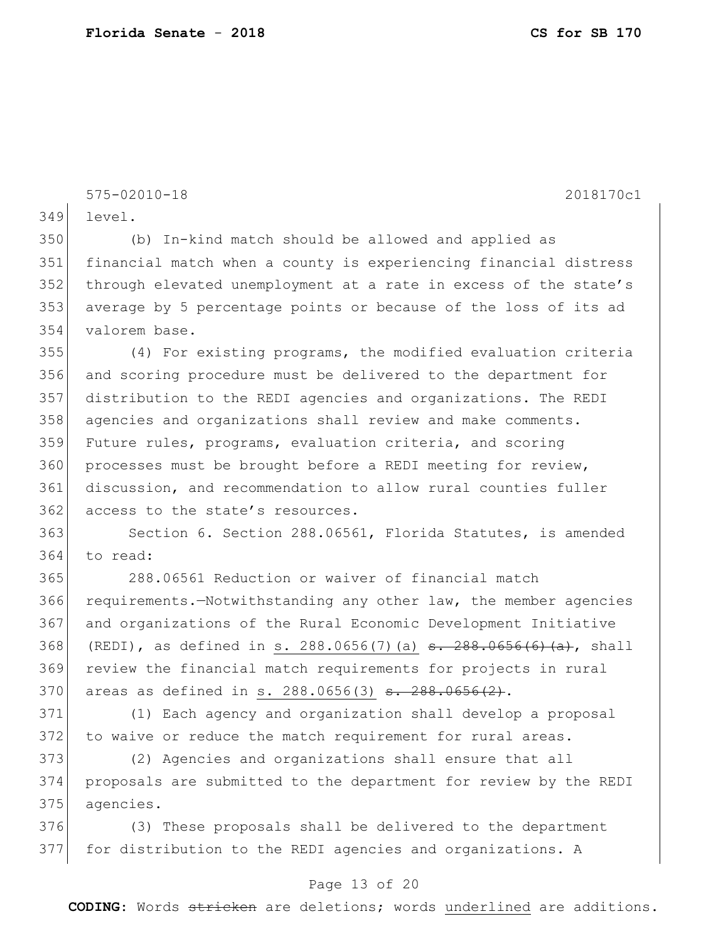575-02010-18 2018170c1

level.

 (b) In-kind match should be allowed and applied as financial match when a county is experiencing financial distress 352 through elevated unemployment at a rate in excess of the state's average by 5 percentage points or because of the loss of its ad valorem base.

 (4) For existing programs, the modified evaluation criteria and scoring procedure must be delivered to the department for distribution to the REDI agencies and organizations. The REDI agencies and organizations shall review and make comments. Future rules, programs, evaluation criteria, and scoring 360 processes must be brought before a REDI meeting for review, discussion, and recommendation to allow rural counties fuller 362 access to the state's resources.

363 Section 6. Section 288.06561, Florida Statutes, is amended to read:

 288.06561 Reduction or waiver of financial match requirements.—Notwithstanding any other law, the member agencies and organizations of the Rural Economic Development Initiative 368 (REDI), as defined in s. 288.0656(7)(a) <del>s. 288.0656(6)(a)</del>, shall review the financial match requirements for projects in rural 370 areas as defined in s. 288.0656(3) <del>s. 288.0656(2)</del>.

 (1) Each agency and organization shall develop a proposal 372 to waive or reduce the match requirement for rural areas.

 (2) Agencies and organizations shall ensure that all proposals are submitted to the department for review by the REDI agencies.

 (3) These proposals shall be delivered to the department for distribution to the REDI agencies and organizations. A

#### Page 13 of 20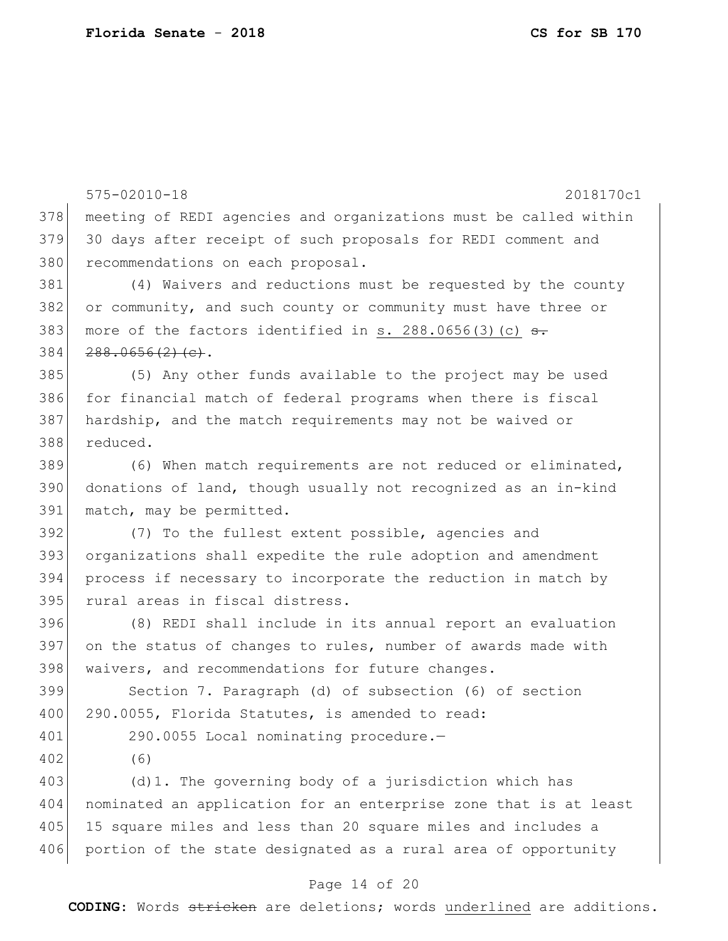575-02010-18 2018170c1 378 meeting of REDI agencies and organizations must be called within 379 30 days after receipt of such proposals for REDI comment and 380 recommendations on each proposal. 381 (4) Waivers and reductions must be requested by the county 382 or community, and such county or community must have three or 383 more of the factors identified in s.  $288.0656(3)(c)$   $\leftrightarrow$  $384$   $288.0656(2)(e).$ 385 (5) Any other funds available to the project may be used 386 for financial match of federal programs when there is fiscal 387 hardship, and the match requirements may not be waived or 388 reduced. 389 (6) When match requirements are not reduced or eliminated, 390 donations of land, though usually not recognized as an in-kind 391 match, may be permitted. 392 (7) To the fullest extent possible, agencies and 393 organizations shall expedite the rule adoption and amendment 394 process if necessary to incorporate the reduction in match by 395 rural areas in fiscal distress. 396 (8) REDI shall include in its annual report an evaluation 397 on the status of changes to rules, number of awards made with 398 waivers, and recommendations for future changes. 399 Section 7. Paragraph (d) of subsection (6) of section 400 290.0055, Florida Statutes, is amended to read: 401 290.0055 Local nominating procedure.-402 (6) 403 (d)1. The governing body of a jurisdiction which has 404 nominated an application for an enterprise zone that is at least 405 15 square miles and less than 20 square miles and includes a 406 portion of the state designated as a rural area of opportunity

#### Page 14 of 20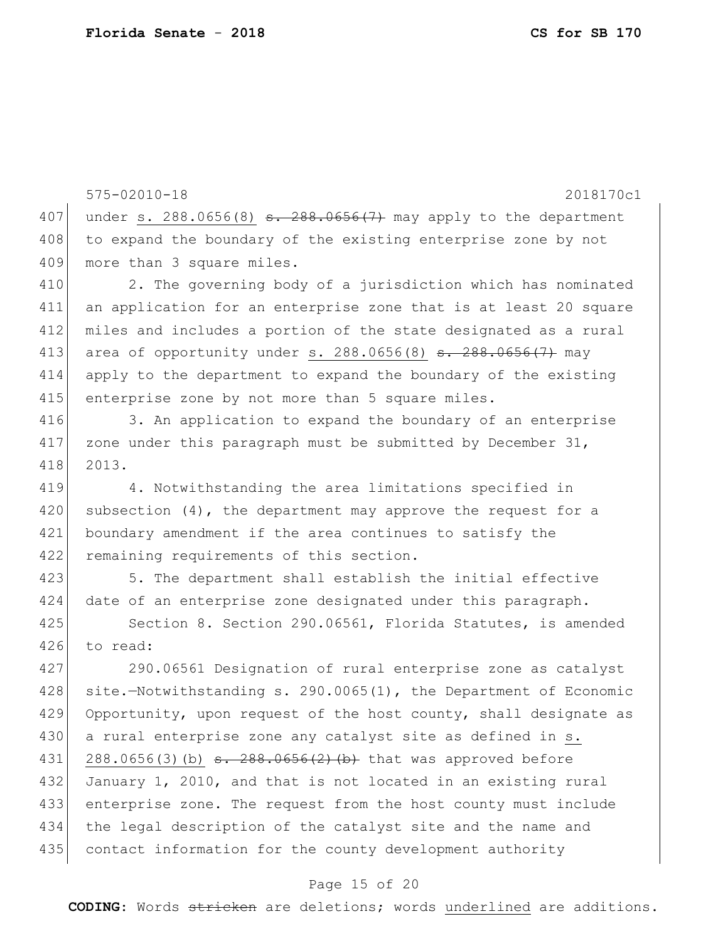575-02010-18 2018170c1 407 under s. 288.0656(8) s. 288.0656(7) may apply to the department 408 to expand the boundary of the existing enterprise zone by not 409 more than 3 square miles. 410 2. The governing body of a jurisdiction which has nominated 411 an application for an enterprise zone that is at least 20 square 412 miles and includes a portion of the state designated as a rural 413 area of opportunity under s. 288.0656(8) <del>s. 288.0656(7)</del> may 414 apply to the department to expand the boundary of the existing 415 enterprise zone by not more than 5 square miles. 416 3. An application to expand the boundary of an enterprise 417 zone under this paragraph must be submitted by December  $31$ , 418 2013. 419 4. Notwithstanding the area limitations specified in 420 subsection  $(4)$ , the department may approve the request for a 421 boundary amendment if the area continues to satisfy the 422 remaining requirements of this section. 423 5. The department shall establish the initial effective 424 date of an enterprise zone designated under this paragraph. 425 Section 8. Section 290.06561, Florida Statutes, is amended 426 to read: 427 290.06561 Designation of rural enterprise zone as catalyst 428 site.—Notwithstanding s. 290.0065(1), the Department of Economic 429 Opportunity, upon request of the host county, shall designate as 430 a rural enterprise zone any catalyst site as defined in s. 431 288.0656(3)(b)  $s. 288.0656(2)$  (b) that was approved before 432 January 1, 2010, and that is not located in an existing rural 433 enterprise zone. The request from the host county must include 434 the legal description of the catalyst site and the name and 435 contact information for the county development authority

#### Page 15 of 20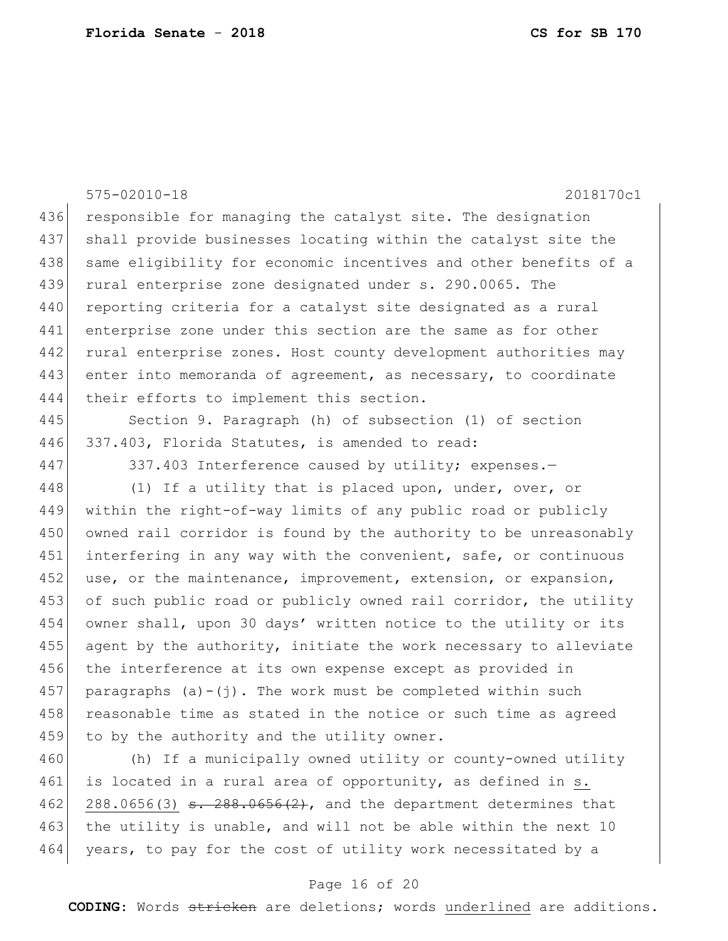575-02010-18 2018170c1 436 responsible for managing the catalyst site. The designation 437 shall provide businesses locating within the catalyst site the 438 same eligibility for economic incentives and other benefits of a 439 rural enterprise zone designated under s. 290.0065. The 440 reporting criteria for a catalyst site designated as a rural 441 enterprise zone under this section are the same as for other 442 rural enterprise zones. Host county development authorities may 443 enter into memoranda of agreement, as necessary, to coordinate 444 their efforts to implement this section. 445 Section 9. Paragraph (h) of subsection (1) of section 446 337.403, Florida Statutes, is amended to read: 447 337.403 Interference caused by utility; expenses.-448 (1) If a utility that is placed upon, under, over, or 449 within the right-of-way limits of any public road or publicly 450 owned rail corridor is found by the authority to be unreasonably 451 interfering in any way with the convenient, safe, or continuous 452 use, or the maintenance, improvement, extension, or expansion, 453 of such public road or publicly owned rail corridor, the utility 454 owner shall, upon 30 days' written notice to the utility or its 455 agent by the authority, initiate the work necessary to alleviate 456 the interference at its own expense except as provided in 457 paragraphs  $(a)-(j)$ . The work must be completed within such 458 reasonable time as stated in the notice or such time as agreed 459 to by the authority and the utility owner.

460 (h) If a municipally owned utility or county-owned utility 461 is located in a rural area of opportunity, as defined in s. 462 288.0656(3)  $\frac{1}{56}$  - 288.0656(2), and the department determines that 463 the utility is unable, and will not be able within the next 10 464 years, to pay for the cost of utility work necessitated by a

#### Page 16 of 20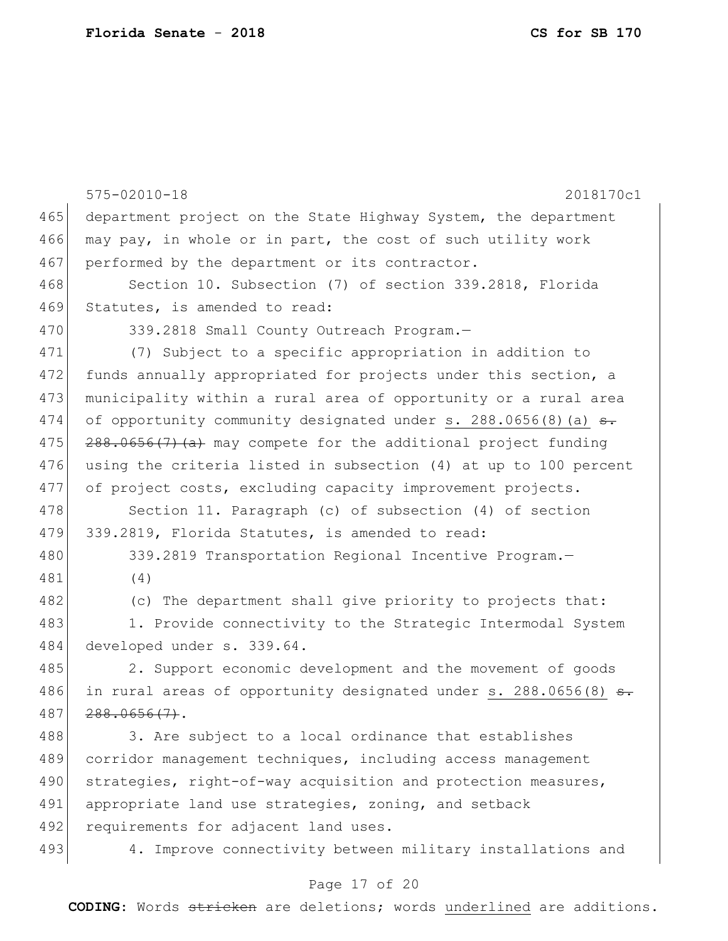|     | $575 - 02010 - 18$<br>2018170c1                                  |
|-----|------------------------------------------------------------------|
| 465 | department project on the State Highway System, the department   |
| 466 | may pay, in whole or in part, the cost of such utility work      |
| 467 | performed by the department or its contractor.                   |
| 468 | Section 10. Subsection (7) of section 339.2818, Florida          |
| 469 | Statutes, is amended to read:                                    |
| 470 | 339.2818 Small County Outreach Program.-                         |
| 471 | (7) Subject to a specific appropriation in addition to           |
| 472 | funds annually appropriated for projects under this section, a   |
| 473 | municipality within a rural area of opportunity or a rural area  |
| 474 | of opportunity community designated under s. 288.0656(8) (a) s.  |
| 475 | $288.0656(7)$ (a) may compete for the additional project funding |
| 476 | using the criteria listed in subsection (4) at up to 100 percent |
| 477 | of project costs, excluding capacity improvement projects.       |
| 478 | Section 11. Paragraph (c) of subsection (4) of section           |
| 479 | 339.2819, Florida Statutes, is amended to read:                  |
| 480 | 339.2819 Transportation Regional Incentive Program.-             |
| 481 | (4)                                                              |
| 482 | (c) The department shall give priority to projects that:         |
| 483 | 1. Provide connectivity to the Strategic Intermodal System       |
| 484 | developed under s. 339.64.                                       |
| 485 | 2. Support economic development and the movement of goods        |
| 486 | in rural areas of opportunity designated under s. 288.0656(8)    |
| 487 | $288.0656(7)$ .                                                  |
| 488 | 3. Are subject to a local ordinance that establishes             |
| 489 | corridor management techniques, including access management      |
| 490 | strategies, right-of-way acquisition and protection measures,    |
| 491 | appropriate land use strategies, zoning, and setback             |
| 492 | requirements for adjacent land uses.                             |
| 493 | 4. Improve connectivity between military installations and       |
|     |                                                                  |

# Page 17 of 20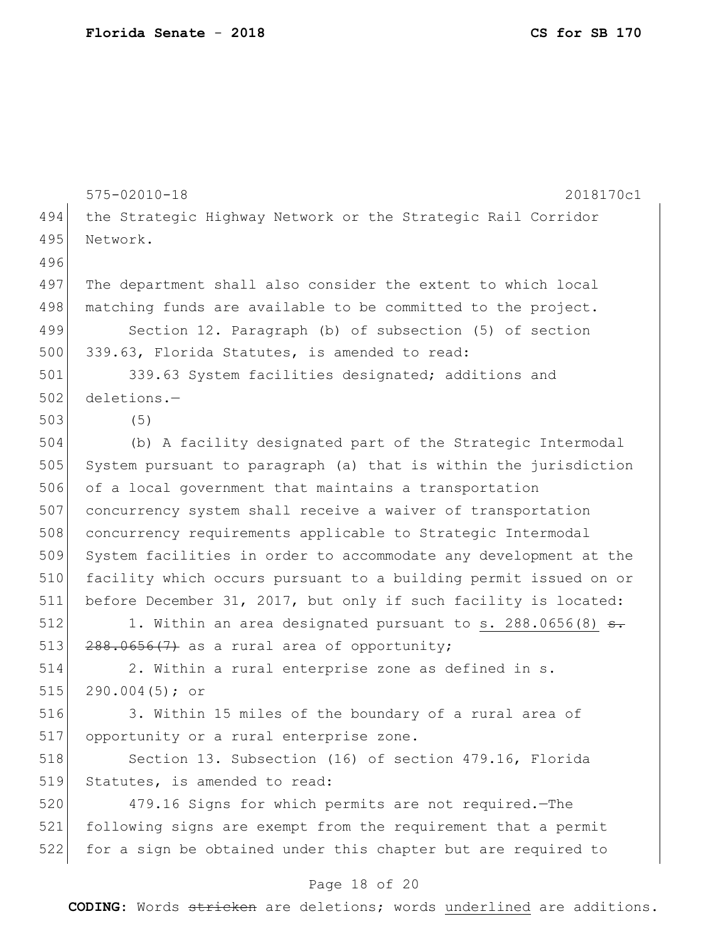575-02010-18 2018170c1 494 the Strategic Highway Network or the Strategic Rail Corridor 495 Network. 496 497 The department shall also consider the extent to which local 498 matching funds are available to be committed to the project. 499 Section 12. Paragraph (b) of subsection (5) of section 500 339.63, Florida Statutes, is amended to read: 501 339.63 System facilities designated; additions and 502 deletions.— 503 (5) 504 (b) A facility designated part of the Strategic Intermodal 505 System pursuant to paragraph (a) that is within the jurisdiction 506 of a local government that maintains a transportation 507 concurrency system shall receive a waiver of transportation 508 concurrency requirements applicable to Strategic Intermodal 509 System facilities in order to accommodate any development at the 510 facility which occurs pursuant to a building permit issued on or 511 before December 31, 2017, but only if such facility is located: 512 1. Within an area designated pursuant to s.  $288.0656(8)$  s. 513  $288.0656(7)$  as a rural area of opportunity; 514 2. Within a rural enterprise zone as defined in s. 515 290.004(5); or 516 3. Within 15 miles of the boundary of a rural area of 517 opportunity or a rural enterprise zone. 518 Section 13. Subsection (16) of section 479.16, Florida 519 Statutes, is amended to read: 520 479.16 Signs for which permits are not required.—The

521 following signs are exempt from the requirement that a permit 522 for a sign be obtained under this chapter but are required to

#### Page 18 of 20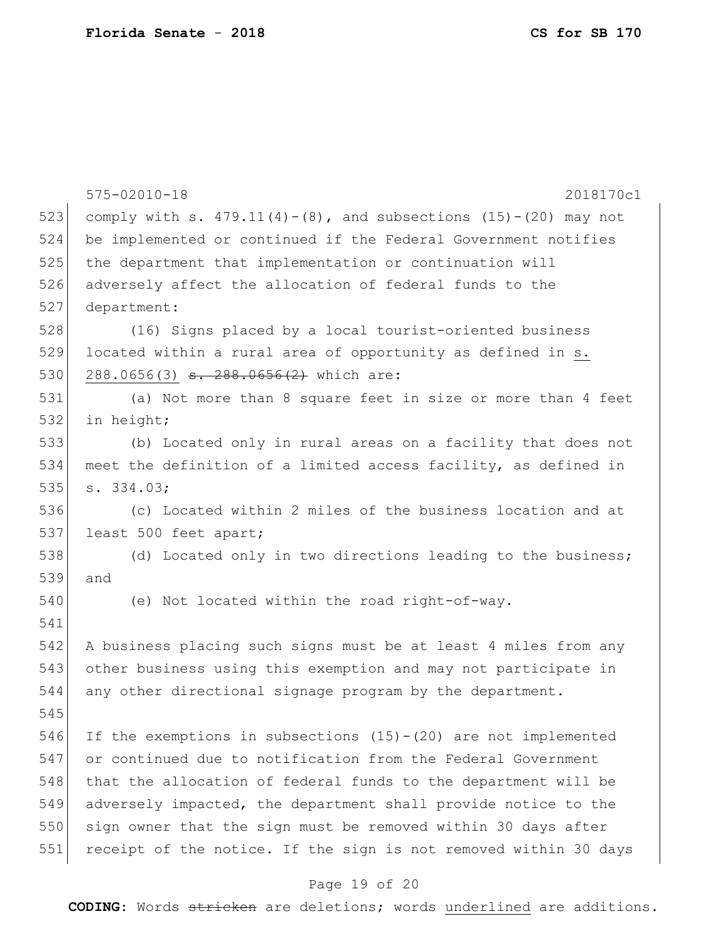|     | $575 - 02010 - 18$<br>2018170c1                                      |
|-----|----------------------------------------------------------------------|
| 523 | comply with s. $479.11(4)-(8)$ , and subsections $(15)-(20)$ may not |
| 524 | be implemented or continued if the Federal Government notifies       |
| 525 | the department that implementation or continuation will              |
| 526 | adversely affect the allocation of federal funds to the              |
| 527 | department:                                                          |
| 528 | (16) Signs placed by a local tourist-oriented business               |
| 529 | located within a rural area of opportunity as defined in s.          |
| 530 | 288.0656(3) <del>s. 288.0656(2)</del> which are:                     |
| 531 | (a) Not more than 8 square feet in size or more than 4 feet          |
| 532 | in height;                                                           |
| 533 | (b) Located only in rural areas on a facility that does not          |
| 534 | meet the definition of a limited access facility, as defined in      |
| 535 | s. 334.03;                                                           |
| 536 | (c) Located within 2 miles of the business location and at           |
| 537 | least 500 feet apart;                                                |
| 538 | (d) Located only in two directions leading to the business;          |
| 539 | and                                                                  |
| 540 | (e) Not located within the road right-of-way.                        |
| 541 |                                                                      |
| 542 | A business placing such signs must be at least 4 miles from any      |
| 543 | other business using this exemption and may not participate in       |
| 544 | any other directional signage program by the department.             |
| 545 |                                                                      |
| 546 | If the exemptions in subsections $(15) - (20)$ are not implemented   |
| 547 | or continued due to notification from the Federal Government         |
| 548 | that the allocation of federal funds to the department will be       |
| 549 | adversely impacted, the department shall provide notice to the       |
| 550 | sign owner that the sign must be removed within 30 days after        |
| 551 | receipt of the notice. If the sign is not removed within 30 days     |

# Page 19 of 20